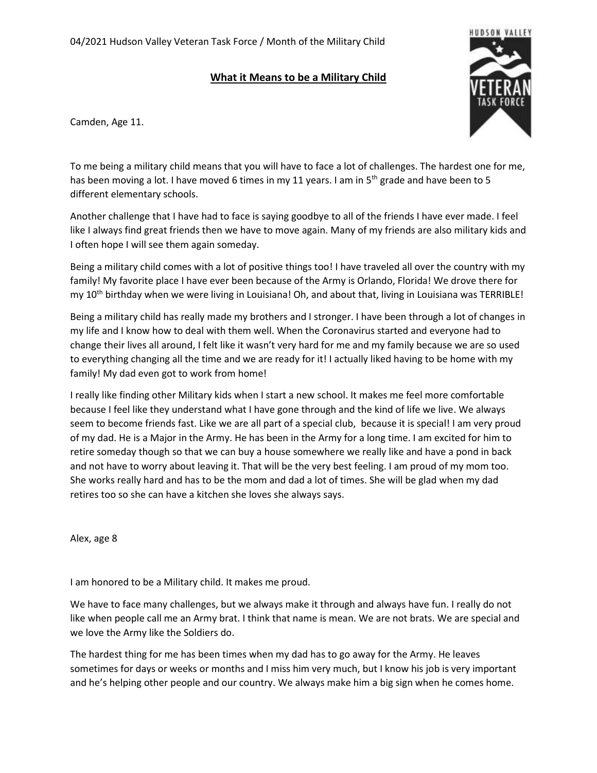## **What it Means to be a Military Child**



Camden, Age 11.

To me being a military child means that you will have to face a lot of challenges. The hardest one for me, has been moving a lot. I have moved 6 times in my 11 years. I am in  $5<sup>th</sup>$  grade and have been to 5 different elementary schools.

Another challenge that I have had to face is saying goodbye to all of the friends I have ever made. I feel like I always find great friends then we have to move again. Many of my friends are also military kids and I often hope I will see them again someday.

Being a military child comes with a lot of positive things too! I have traveled all over the country with my family! My favorite place I have ever been because of the Army is Orlando, Florida! We drove there for my 10<sup>th</sup> birthday when we were living in Louisiana! Oh, and about that, living in Louisiana was TERRIBLE!

Being a military child has really made my brothers and I stronger. I have been through a lot of changes in my life and I know how to deal with them well. When the Coronavirus started and everyone had to change their lives all around, I felt like it wasn't very hard for me and my family because we are so used to everything changing all the time and we are ready for it! I actually liked having to be home with my family! My dad even got to work from home!

I really like finding other Military kids when I start a new school. It makes me feel more comfortable because I feel like they understand what I have gone through and the kind of life we live. We always seem to become friends fast. Like we are all part of a special club, because it is special! I am very proud of my dad. He is a Major in the Army. He has been in the Army for a long time. I am excited for him to retire someday though so that we can buy a house somewhere we really like and have a pond in back and not have to worry about leaving it. That will be the very best feeling. I am proud of my mom too. She works really hard and has to be the mom and dad a lot of times. She will be glad when my dad retires too so she can have a kitchen she loves she always says.

Alex, age 8

I am honored to be a Military child. It makes me proud.

We have to face many challenges, but we always make it through and always have fun. I really do not like when people call me an Army brat. I think that name is mean. We are not brats. We are special and we love the Army like the Soldiers do.

The hardest thing for me has been times when my dad has to go away for the Army. He leaves sometimes for days or weeks or months and I miss him very much, but I know his job is very important and he's helping other people and our country. We always make him a big sign when he comes home.